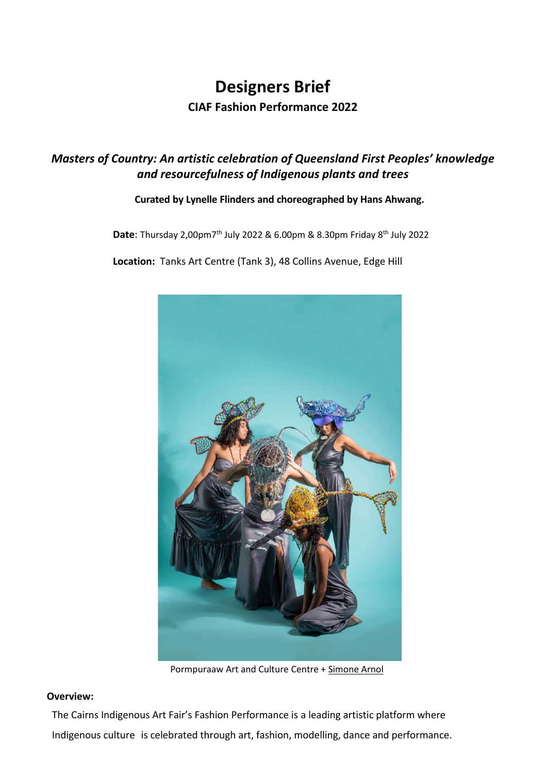# **Designers Brief CIAF Fashion Performance 2022**

# *Masters of Country: An artistic celebration of Queensland First Peoples' knowledge and resourcefulness of Indigenous plants and trees*

## **Curated by Lynelle Flinders and choreographed by Hans Ahwang.**

**Date**: Thursday 2,00pm7<sup>th</sup> July 2022 & 6.00pm & 8.30pm Friday 8<sup>th</sup> July 2022

**Location:** Tanks Art Centre (Tank 3), 48 Collins Avenue, Edge Hill



[Pormpuraaw](https://www.facebook.com/Pormpuraawartandculturecentre/?__cft__%5b0%5d=AZUMiCwBDqng-c2qa1Kz_ptNvfN2AvKVVjSQhxjT4XyVRMmjctzDR8XqMeNh1tI_02guUcICd_2FheDhfbGNAmaFQkL087Ycu1YkAfLMKJwKK4hdudcFfj1WrnAq12ECWQlc_ODYiEp-mneHe20oU7OvcwlUL1fbGa6xq-ZFjvAp7nhijNIsyQMyAn1p6BTiiAw&__tn__=kK-R) Art and Culture Centre + [Simone](https://www.facebook.com/Simone-Arnol-567386743439705/?__cft__%5b0%5d=AZUMiCwBDqng-c2qa1Kz_ptNvfN2AvKVVjSQhxjT4XyVRMmjctzDR8XqMeNh1tI_02guUcICd_2FheDhfbGNAmaFQkL087Ycu1YkAfLMKJwKK4hdudcFfj1WrnAq12ECWQlc_ODYiEp-mneHe20oU7OvcwlUL1fbGa6xq-ZFjvAp7nhijNIsyQMyAn1p6BTiiAw&__tn__=kK-R) Arnol

## **Overview:**

The Cairns Indigenous Art Fair's Fashion Performance is a leading artistic platform where Indigenous culture is celebrated through art, fashion, modelling, dance and performance.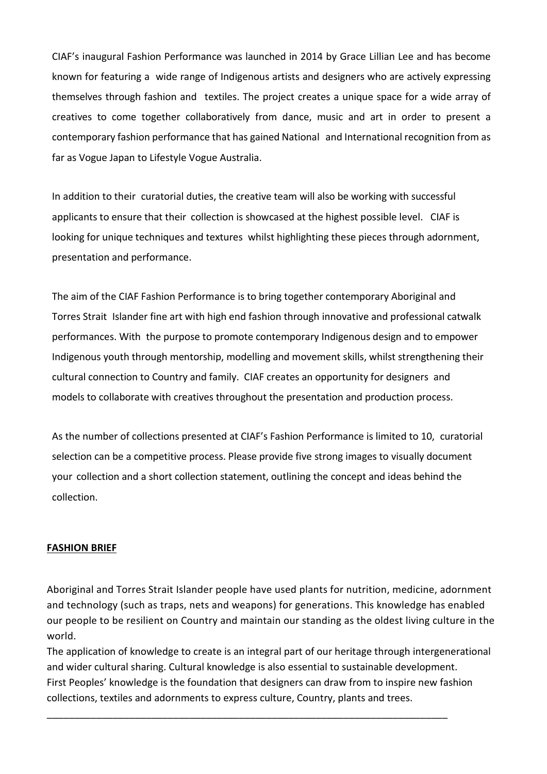CIAF's inaugural Fashion Performance was launched in 2014 by Grace Lillian Lee and has become known for featuring a wide range of Indigenous artists and designers who are actively expressing themselves through fashion and textiles. The project creates a unique space for a wide array of creatives to come together collaboratively from dance, music and art in order to present a contemporary fashion performance that has gained National and International recognition from as far as Vogue Japan to Lifestyle Vogue Australia.

In addition to their curatorial duties, the creative team will also be working with successful applicants to ensure that their collection is showcased at the highest possible level. CIAF is looking for unique techniques and textures whilst highlighting these pieces through adornment, presentation and performance.

The aim of the CIAF Fashion Performance is to bring together contemporary Aboriginal and Torres Strait Islander fine art with high end fashion through innovative and professional catwalk performances. With the purpose to promote contemporary Indigenous design and to empower Indigenous youth through mentorship, modelling and movement skills, whilst strengthening their cultural connection to Country and family. CIAF creates an opportunity for designers and models to collaborate with creatives throughout the presentation and production process.

As the number of collections presented at CIAF's Fashion Performance is limited to 10, curatorial selection can be a competitive process. Please provide five strong images to visually document your collection and a short collection statement, outlining the concept and ideas behind the collection.

#### **FASHION BRIEF**

Aboriginal and Torres Strait Islander people have used plants for nutrition, medicine, adornment and technology (such as traps, nets and weapons) for generations. This knowledge has enabled our people to be resilient on Country and maintain our standing as the oldest living culture in the world.

The application of knowledge to create is an integral part of our heritage through intergenerational and wider cultural sharing. Cultural knowledge is also essential to sustainable development. First Peoples' knowledge is the foundation that designers can draw from to inspire new fashion collections, textiles and adornments to express culture, Country, plants and trees.

\_\_\_\_\_\_\_\_\_\_\_\_\_\_\_\_\_\_\_\_\_\_\_\_\_\_\_\_\_\_\_\_\_\_\_\_\_\_\_\_\_\_\_\_\_\_\_\_\_\_\_\_\_\_\_\_\_\_\_\_\_\_\_\_\_\_\_\_\_\_\_\_\_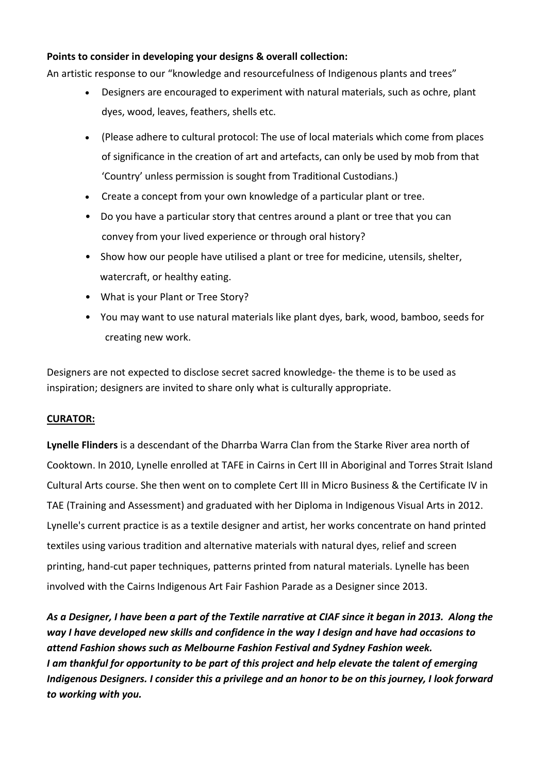# **Points to consider in developing your designs & overall collection:**

An artistic response to our "knowledge and resourcefulness of Indigenous plants and trees"

- Designers are encouraged to experiment with natural materials, such as ochre, plant dyes, wood, leaves, feathers, shells etc.
- (Please adhere to cultural protocol: The use of local materials which come from places of significance in the creation of art and artefacts, can only be used by mob from that 'Country' unless permission is sought from Traditional Custodians.)
- Create a concept from your own knowledge of a particular plant or tree.
- Do you have a particular story that centres around a plant or tree that you can convey from your lived experience or through oral history?
- Show how our people have utilised a plant or tree for medicine, utensils, shelter, watercraft, or healthy eating.
- What is your Plant or Tree Story?
- You may want to use natural materials like plant dyes, bark, wood, bamboo, seeds for creating new work.

Designers are not expected to disclose secret sacred knowledge- the theme is to be used as inspiration; designers are invited to share only what is culturally appropriate.

# **CURATOR:**

**Lynelle Flinders** is a descendant of the Dharrba Warra Clan from the Starke River area north of Cooktown. In 2010, Lynelle enrolled at TAFE in Cairns in Cert III in Aboriginal and Torres Strait Island Cultural Arts course. She then went on to complete Cert III in Micro Business & the Certificate IV in TAE (Training and Assessment) and graduated with her Diploma in Indigenous Visual Arts in 2012. Lynelle's current practice is as a textile designer and artist, her works concentrate on hand printed textiles using various tradition and alternative materials with natural dyes, relief and screen printing, hand-cut paper techniques, patterns printed from natural materials. Lynelle has been involved with the Cairns Indigenous Art Fair Fashion Parade as a Designer since 2013.

*As a Designer, I have been a part of the Textile narrative at CIAF since it began in 2013. Along the way I have developed new skills and confidence in the way I design and have had occasions to attend Fashion shows such as Melbourne Fashion Festival and Sydney Fashion week. I am thankful for opportunity to be part of this project and help elevate the talent of emerging Indigenous Designers. I consider this a privilege and an honor to be on this journey, I look forward to working with you.*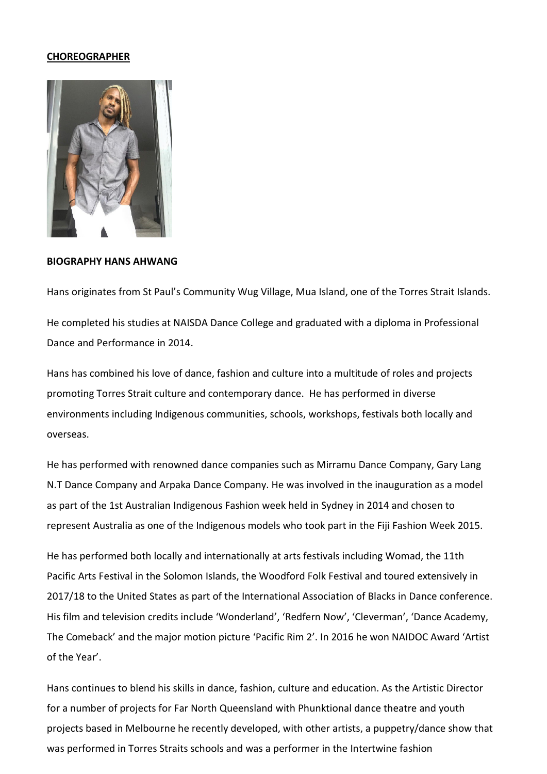#### **CHOREOGRAPHER**



**BIOGRAPHY HANS AHWANG**

Hans originates from St Paul's Community Wug Village, Mua Island, one of the Torres Strait Islands. He completed his studies at NAISDA Dance College and graduated with a diploma in Professional Dance and Performance in 2014.

Hans has combined his love of dance, fashion and culture into a multitude of roles and projects promoting Torres Strait culture and contemporary dance. He has performed in diverse environments including Indigenous communities, schools, workshops, festivals both locally and overseas.

He has performed with renowned dance companies such as Mirramu Dance Company, Gary Lang N.T Dance Company and Arpaka Dance Company. He was involved in the inauguration as a model as part of the 1st Australian Indigenous Fashion week held in Sydney in 2014 and chosen to represent Australia as one of the Indigenous models who took part in the Fiji Fashion Week 2015.

He has performed both locally and internationally at arts festivals including Womad, the 11th Pacific Arts Festival in the Solomon Islands, the Woodford Folk Festival and toured extensively in 2017/18 to the United States as part of the International Association of Blacks in Dance conference. His film and television credits include 'Wonderland', 'Redfern Now', 'Cleverman', 'Dance Academy, The Comeback' and the major motion picture 'Pacific Rim 2'. In 2016 he won NAIDOC Award 'Artist of the Year'.

Hans continues to blend his skills in dance, fashion, culture and education. As the Artistic Director for a number of projects for Far North Queensland with Phunktional dance theatre and youth projects based in Melbourne he recently developed, with other artists, a puppetry/dance show that was performed in Torres Straits schools and was a performer in the Intertwine fashion